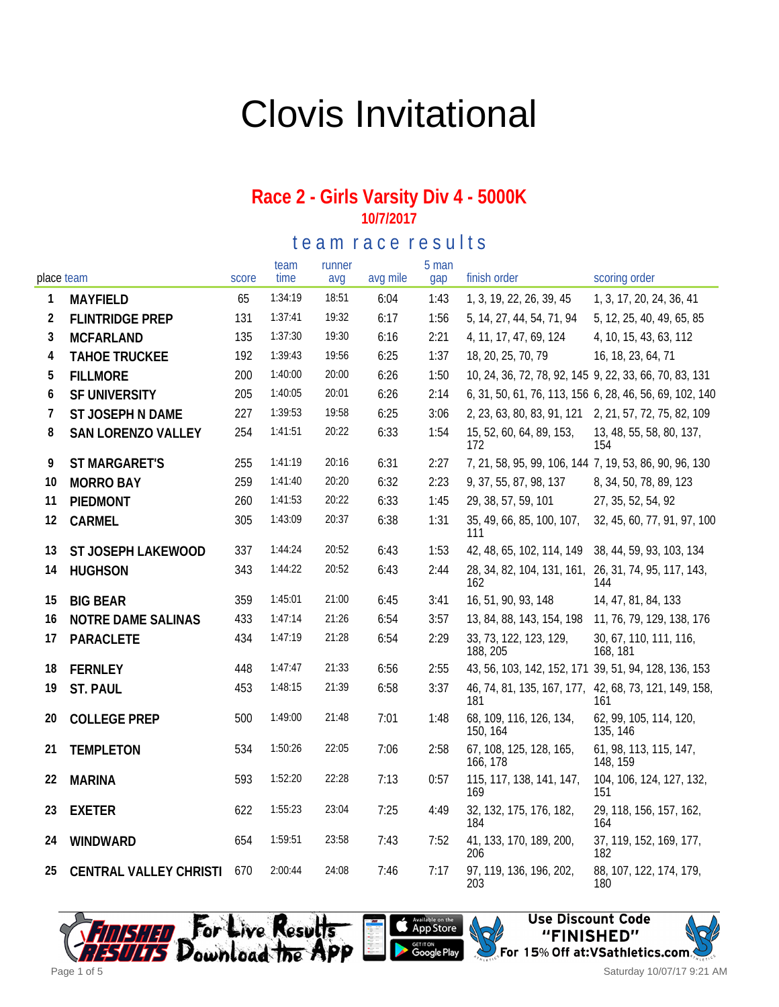# Clovis Invitational

#### **Race 2 - Girls Varsity Div 4 - 5000K 10/7/2017**

te am race results

| place team |                            | score | team<br>time | runner<br>avq | avg mile | 5 man<br>gap | finish order                                                 | scoring order                                           |
|------------|----------------------------|-------|--------------|---------------|----------|--------------|--------------------------------------------------------------|---------------------------------------------------------|
| 1          | <b>MAYFIELD</b>            | 65    | 1:34:19      | 18:51         | 6:04     | 1:43         | 1, 3, 19, 22, 26, 39, 45                                     | 1, 3, 17, 20, 24, 36, 41                                |
| 2          | <b>FLINTRIDGE PREP</b>     | 131   | 1:37:41      | 19:32         | 6:17     | 1:56         | 5, 14, 27, 44, 54, 71, 94                                    | 5, 12, 25, 40, 49, 65, 85                               |
| 3          | <b>MCFARLAND</b>           | 135   | 1:37:30      | 19:30         | 6:16     | 2:21         | 4, 11, 17, 47, 69, 124                                       | 4, 10, 15, 43, 63, 112                                  |
| 4          | <b>TAHOE TRUCKEE</b>       | 192   | 1:39:43      | 19:56         | 6:25     | 1:37         | 18, 20, 25, 70, 79                                           | 16, 18, 23, 64, 71                                      |
| 5          | <b>FILLMORE</b>            | 200   | 1:40:00      | 20:00         | 6:26     | 1:50         | 10, 24, 36, 72, 78, 92, 145 9, 22, 33, 66, 70, 83, 131       |                                                         |
| 6          | SF UNIVERSITY              | 205   | 1:40:05      | 20:01         | 6:26     | 2:14         |                                                              | 6, 31, 50, 61, 76, 113, 156 6, 28, 46, 56, 69, 102, 140 |
| 7          | ST JOSEPH N DAME           | 227   | 1:39:53      | 19:58         | 6:25     | 3:06         | 2, 23, 63, 80, 83, 91, 121 2, 21, 57, 72, 75, 82, 109        |                                                         |
| 8          | SAN LORENZO VALLEY         | 254   | 1:41:51      | 20:22         | 6:33     | 1:54         | 15, 52, 60, 64, 89, 153,<br>172                              | 13, 48, 55, 58, 80, 137,<br>154                         |
| 9          | <b>ST MARGARET'S</b>       | 255   | 1:41:19      | 20:16         | 6:31     | 2:27         | 7, 21, 58, 95, 99, 106, 144 7, 19, 53, 86, 90, 96, 130       |                                                         |
| 10         | <b>MORRO BAY</b>           | 259   | 1:41:40      | 20:20         | 6:32     | 2:23         | 9, 37, 55, 87, 98, 137                                       | 8, 34, 50, 78, 89, 123                                  |
| 11         | PIEDMONT                   | 260   | 1:41:53      | 20:22         | 6:33     | 1:45         | 29, 38, 57, 59, 101                                          | 27, 35, 52, 54, 92                                      |
| 12         | CARMEL                     | 305   | 1:43:09      | 20:37         | 6:38     | 1:31         | 35, 49, 66, 85, 100, 107,<br>111                             | 32, 45, 60, 77, 91, 97, 100                             |
| 13         | ST JOSEPH LAKEWOOD         | 337   | 1:44:24      | 20:52         | 6:43     | 1:53         | 42, 48, 65, 102, 114, 149                                    | 38, 44, 59, 93, 103, 134                                |
| 14         | <b>HUGHSON</b>             | 343   | 1:44:22      | 20:52         | 6:43     | 2:44         | 28, 34, 82, 104, 131, 161, 26, 31, 74, 95, 117, 143,<br>162  | 144                                                     |
| 15         | <b>BIG BEAR</b>            | 359   | 1:45:01      | 21:00         | 6:45     | 3:41         | 16, 51, 90, 93, 148                                          | 14, 47, 81, 84, 133                                     |
| 16         | NOTRE DAME SALINAS         | 433   | 1:47:14      | 21:26         | 6:54     | 3:57         | 13, 84, 88, 143, 154, 198                                    | 11, 76, 79, 129, 138, 176                               |
| 17         | PARACLETE                  | 434   | 1:47:19      | 21:28         | 6:54     | 2:29         | 33, 73, 122, 123, 129,<br>188, 205                           | 30, 67, 110, 111, 116,<br>168, 181                      |
| 18         | <b>FERNLEY</b>             | 448   | 1:47:47      | 21:33         | 6:56     | 2:55         | 43, 56, 103, 142, 152, 171 39, 51, 94, 128, 136, 153         |                                                         |
| 19         | ST. PAUL                   | 453   | 1:48:15      | 21:39         | 6:58     | 3:37         | 46, 74, 81, 135, 167, 177, 42, 68, 73, 121, 149, 158,<br>181 | 161                                                     |
| 20         | <b>COLLEGE PREP</b>        | 500   | 1:49:00      | 21:48         | 7:01     | 1:48         | 68, 109, 116, 126, 134,<br>150, 164                          | 62, 99, 105, 114, 120,<br>135, 146                      |
| 21         | <b>TEMPLETON</b>           | 534   | 1:50:26      | 22:05         | 7:06     | 2:58         | 67, 108, 125, 128, 165,<br>166, 178                          | 61, 98, 113, 115, 147,<br>148, 159                      |
| 22         | <b>MARINA</b>              | 593   | 1:52:20      | 22:28         | 7:13     | 0:57         | 115, 117, 138, 141, 147,<br>169                              | 104, 106, 124, 127, 132,<br>151                         |
| 23         | <b>EXETER</b>              | 622   | 1:55:23      | 23:04         | 7:25     | 4:49         | 32, 132, 175, 176, 182,<br>184                               | 29, 118, 156, 157, 162,<br>164                          |
| 24         | WINDWARD                   | 654   | 1:59:51      | 23:58         | 7:43     | 7:52         | 41, 133, 170, 189, 200,<br>206                               | 37, 119, 152, 169, 177,<br>182                          |
| 25         | CENTRAL VALLEY CHRISTI 670 |       | 2:00:44      | 24:08         | 7:46     | 7:17         | 97, 119, 136, 196, 202,<br>203                               | 88, 107, 122, 174, 179,<br>180                          |





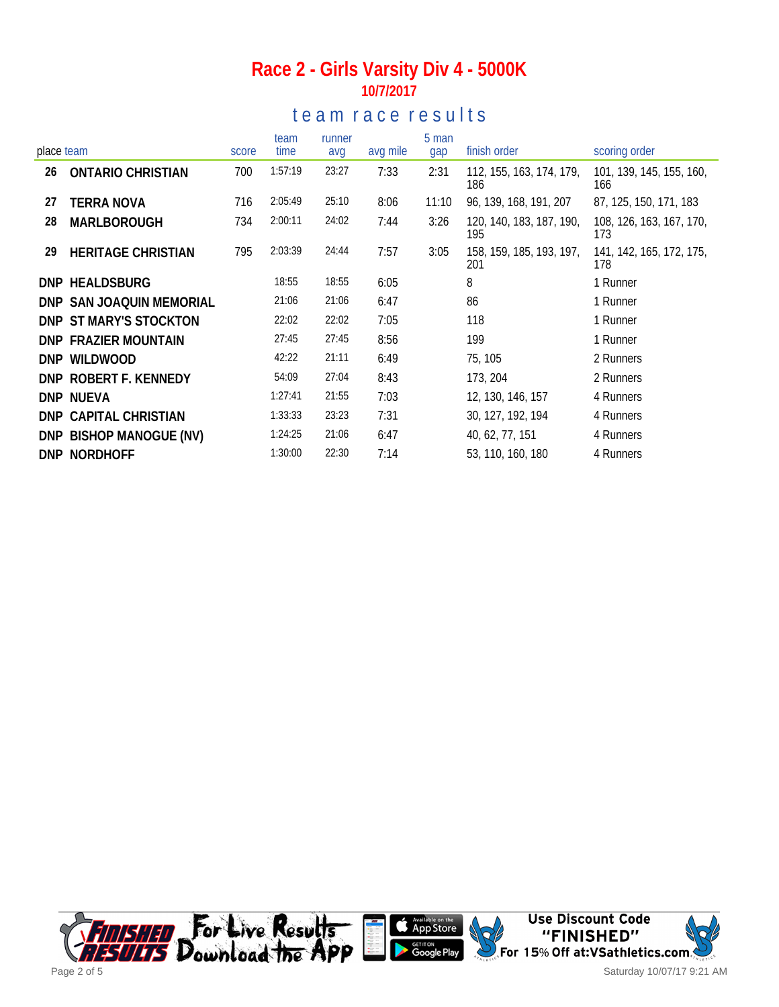### **Race 2 - Girls Varsity Div 4 - 5000K 10/7/2017**

### te a m r a c e r e s ults

|            |                             |       | team    | runner |          | 5 man |                                 |                                 |
|------------|-----------------------------|-------|---------|--------|----------|-------|---------------------------------|---------------------------------|
| place team |                             | score | time    | avg    | avg mile | gap   | finish order                    | scoring order                   |
| 26         | <b>ONTARIO CHRISTIAN</b>    | 700   | 1:57:19 | 23:27  | 7:33     | 2:31  | 112, 155, 163, 174, 179,<br>186 | 101, 139, 145, 155, 160,<br>166 |
| 27         | <b>TERRA NOVA</b>           | 716   | 2:05:49 | 25:10  | 8:06     | 11:10 | 96, 139, 168, 191, 207          | 87, 125, 150, 171, 183          |
| 28         | MARLBOROUGH                 | 734   | 2:00:11 | 24:02  | 7:44     | 3:26  | 120, 140, 183, 187, 190,<br>195 | 108, 126, 163, 167, 170,<br>173 |
| 29         | <b>HERITAGE CHRISTIAN</b>   | 795   | 2:03:39 | 24:44  | 7:57     | 3:05  | 158, 159, 185, 193, 197,<br>201 | 141, 142, 165, 172, 175,<br>178 |
|            | DNP HEALDSBURG              |       | 18:55   | 18:55  | 6:05     |       | 8                               | 1 Runner                        |
|            | DNP SAN JOAQUIN MEMORIAL    |       | 21:06   | 21:06  | 6:47     |       | 86                              | 1 Runner                        |
|            | DNP ST MARY'S STOCKTON      |       | 22:02   | 22:02  | 7:05     |       | 118                             | 1 Runner                        |
|            | <b>DNP FRAZIER MOUNTAIN</b> |       | 27:45   | 27:45  | 8:56     |       | 199                             | 1 Runner                        |
|            | DNP WILDWOOD                |       | 42:22   | 21:11  | 6:49     |       | 75, 105                         | 2 Runners                       |
|            | DNP ROBERT F. KENNEDY       |       | 54:09   | 27:04  | 8:43     |       | 173, 204                        | 2 Runners                       |
|            | DNP NUEVA                   |       | 1:27:41 | 21:55  | 7:03     |       | 12, 130, 146, 157               | 4 Runners                       |
|            | DNP CAPITAL CHRISTIAN       |       | 1:33:33 | 23:23  | 7:31     |       | 30, 127, 192, 194               | 4 Runners                       |
|            | DNP BISHOP MANOGUE (NV)     |       | 1:24:25 | 21:06  | 6:47     |       | 40, 62, 77, 151                 | 4 Runners                       |
|            | DNP NORDHOFF                |       | 1:30:00 | 22:30  | 7:14     |       | 53, 110, 160, 180               | 4 Runners                       |



Saturday 10/07/17 9:21 AM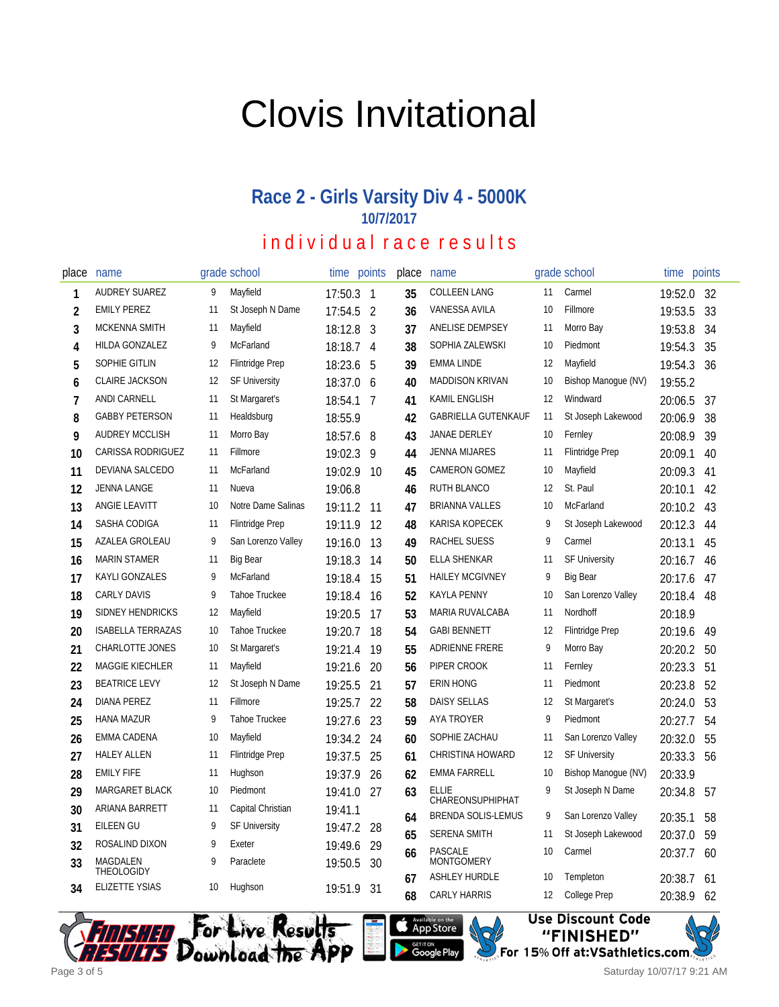# Clovis Invitational

### **Race 2 - Girls Varsity Div 4 - 5000K 10/7/2017**

## individual race results

| place | name                     |    | grade school           | time       | points         | place | name                                          |    | grade school           | time    | points |
|-------|--------------------------|----|------------------------|------------|----------------|-------|-----------------------------------------------|----|------------------------|---------|--------|
| 1     | AUDREY SUAREZ            | 9  | Mayfield               | 17:50.3    | $\mathbf{1}$   | 35    | COLLEEN LANG                                  | 11 | Carmel                 | 19:52.0 | 32     |
| 2     | <b>EMILY PEREZ</b>       | 11 | St Joseph N Dame       | 17:54.5    | $\overline{2}$ | 36    | VANESSA AVILA                                 | 10 | Fillmore               | 19:53.5 | 33     |
| 3     | <b>MCKENNA SMITH</b>     | 11 | Mayfield               | 18:12.8    | 3              | 37    | ANELISE DEMPSEY                               | 11 | Morro Bay              | 19:53.8 | 34     |
| 4     | HILDA GONZALEZ           | 9  | McFarland              | 18:18.7    | 4              | 38    | SOPHIA ZALEWSKI                               | 10 | Piedmont               | 19:54.3 | 35     |
| 5     | SOPHIE GITLIN            | 12 | <b>Flintridge Prep</b> | 18:23.6    | 5              | 39    | <b>EMMA LINDE</b>                             | 12 | Mayfield               | 19:54.3 | 36     |
| 6     | <b>CLAIRE JACKSON</b>    | 12 | <b>SF University</b>   | 18:37.0    | 6              | 40    | <b>MADDISON KRIVAN</b>                        | 10 | Bishop Manoque (NV)    | 19:55.2 |        |
| 7     | ANDI CARNELL             | 11 | St Margaret's          | 18:54.1    | 7              | 41    | KAMIL ENGLISH                                 | 12 | Windward               | 20:06.5 | 37     |
| 8     | <b>GABBY PETERSON</b>    | 11 | Healdsburg             | 18:55.9    |                | 42    | <b>GABRIELLA GUTENKAUF</b>                    | 11 | St Joseph Lakewood     | 20:06.9 | 38     |
| 9     | <b>AUDREY MCCLISH</b>    | 11 | Morro Bay              | 18:57.6    | 8              | 43    | JANAE DERLEY                                  | 10 | Fernley                | 20:08.9 | 39     |
| 10    | CARISSA RODRIGUEZ        | 11 | Fillmore               | 19:02.3    | 9              | 44    | <b>JENNA MIJARES</b>                          | 11 | <b>Flintridge Prep</b> | 20:09.1 | 40     |
| 11    | DEVIANA SALCEDO          | 11 | McFarland              | 19:02.9    | -10            | 45    | <b>CAMERON GOMEZ</b>                          | 10 | Mayfield               | 20:09.3 | 41     |
| 12    | <b>JENNA LANGE</b>       | 11 | Nueva                  | 19:06.8    |                | 46    | RUTH BLANCO                                   | 12 | St. Paul               | 20:10.1 | 42     |
| 13    | ANGIE LEAVITT            | 10 | Notre Dame Salinas     | 19:11.2    | 11             | 47    | <b>BRIANNA VALLES</b>                         | 10 | McFarland              | 20:10.2 | 43     |
| 14    | SASHA CODIGA             | 11 | <b>Flintridge Prep</b> | 19:11.9    | 12             | 48    | KARISA KOPECEK                                | 9  | St Joseph Lakewood     | 20:12.3 | 44     |
| 15    | AZALEA GROLEAU           | 9  | San Lorenzo Valley     | 19:16.0    | 13             | 49    | <b>RACHEL SUESS</b>                           | 9  | Carmel                 | 20:13.1 | 45     |
| 16    | <b>MARIN STAMER</b>      | 11 | <b>Big Bear</b>        | 19:18.3    | 14             | 50    | ELLA SHENKAR                                  | 11 | <b>SF University</b>   | 20:16.7 | 46     |
| 17    | <b>KAYLI GONZALES</b>    | 9  | McFarland              | 19:18.4    | 15             | 51    | <b>HAILEY MCGIVNEY</b>                        | 9  | <b>Big Bear</b>        | 20:17.6 | 47     |
| 18    | <b>CARLY DAVIS</b>       | 9  | <b>Tahoe Truckee</b>   | 19:18.4    | 16             | 52    | <b>KAYLA PENNY</b>                            | 10 | San Lorenzo Valley     | 20:18.4 | 48     |
| 19    | <b>SIDNEY HENDRICKS</b>  | 12 | Mayfield               | 19:20.5    | 17             | 53    | MARIA RUVALCABA                               | 11 | Nordhoff               | 20:18.9 |        |
| 20    | <b>ISABELLA TERRAZAS</b> | 10 | <b>Tahoe Truckee</b>   | 19:20.7    | 18             | 54    | <b>GABI BENNETT</b>                           | 12 | <b>Flintridge Prep</b> | 20:19.6 | 49     |
| 21    | <b>CHARLOTTE JONES</b>   | 10 | St Margaret's          | 19:21.4    | 19             | 55    | ADRIENNE FRERE                                | 9  | Morro Bay              | 20:20.2 | 50     |
| 22    | MAGGIE KIECHLER          | 11 | Mayfield               | 19:21.6    | 20             | 56    | PIPER CROOK                                   | 11 | Fernley                | 20:23.3 | 51     |
| 23    | <b>BEATRICE LEVY</b>     | 12 | St Joseph N Dame       | 19:25.5    | 21             | 57    | <b>ERIN HONG</b>                              | 11 | Piedmont               | 20:23.8 | 52     |
| 24    | <b>DIANA PEREZ</b>       | 11 | Fillmore               | 19:25.7    | 22             | 58    | <b>DAISY SELLAS</b>                           | 12 | St Margaret's          | 20:24.0 | 53     |
| 25    | <b>HANA MAZUR</b>        | 9  | Tahoe Truckee          | 19:27.6    | 23             | 59    | AYA TROYER                                    | 9  | Piedmont               | 20:27.7 | 54     |
| 26    | <b>EMMA CADENA</b>       | 10 | Mayfield               | 19:34.2    | 24             | 60    | SOPHIE ZACHAU                                 | 11 | San Lorenzo Valley     | 20:32.0 | 55     |
| 27    | <b>HALEY ALLEN</b>       | 11 | <b>Flintridge Prep</b> | 19:37.5    | 25             | 61    | <b>CHRISTINA HOWARD</b>                       | 12 | <b>SF University</b>   | 20:33.3 | 56     |
| 28    | <b>EMILY FIFE</b>        | 11 | Hughson                | 19:37.9    | 26             | 62    | <b>EMMA FARRELL</b>                           | 10 | Bishop Manogue (NV)    | 20:33.9 |        |
| 29    | MARGARET BLACK           | 10 | Piedmont               | 19:41.0    | 27             | 63    | <b>ELLIE</b>                                  | 9  | St Joseph N Dame       | 20:34.8 | 57     |
| 30    | ARIANA BARRETT           | 11 | Capital Christian      | 19:41.1    |                | 64    | CHAREONSUPHIPHAT<br><b>BRENDA SOLIS-LEMUS</b> | 9  | San Lorenzo Valley     | 20:35.1 | 58     |
| 31    | EILEEN GU                | 9  | <b>SF University</b>   | 19:47.2    | 28             | 65    | <b>SERENA SMITH</b>                           | 11 | St Joseph Lakewood     | 20:37.0 | 59     |
| 32    | ROSALIND DIXON           | 9  | Exeter                 | 19:49.6    | 29             |       | <b>PASCALE</b>                                | 10 | Carmel                 |         |        |
| 33    | MAGDALEN<br>THEOLOGIDY   | 9  | Paraclete              | 19:50.5    | 30             | 66    | <b>MONTGOMERY</b>                             |    |                        | 20:37.7 | 60     |
| 34    | <b>ELIZETTE YSIAS</b>    | 10 | Hughson                | 19:51.9 31 |                | 67    | <b>ASHLEY HURDLE</b>                          | 10 | Templeton              | 20:38.7 | 61     |
|       |                          |    |                        |            |                | 68    | <b>CARLY HARRIS</b>                           | 12 | College Prep           | 20:38.9 | 62     |







Saturday 10/07/17 9:21 AM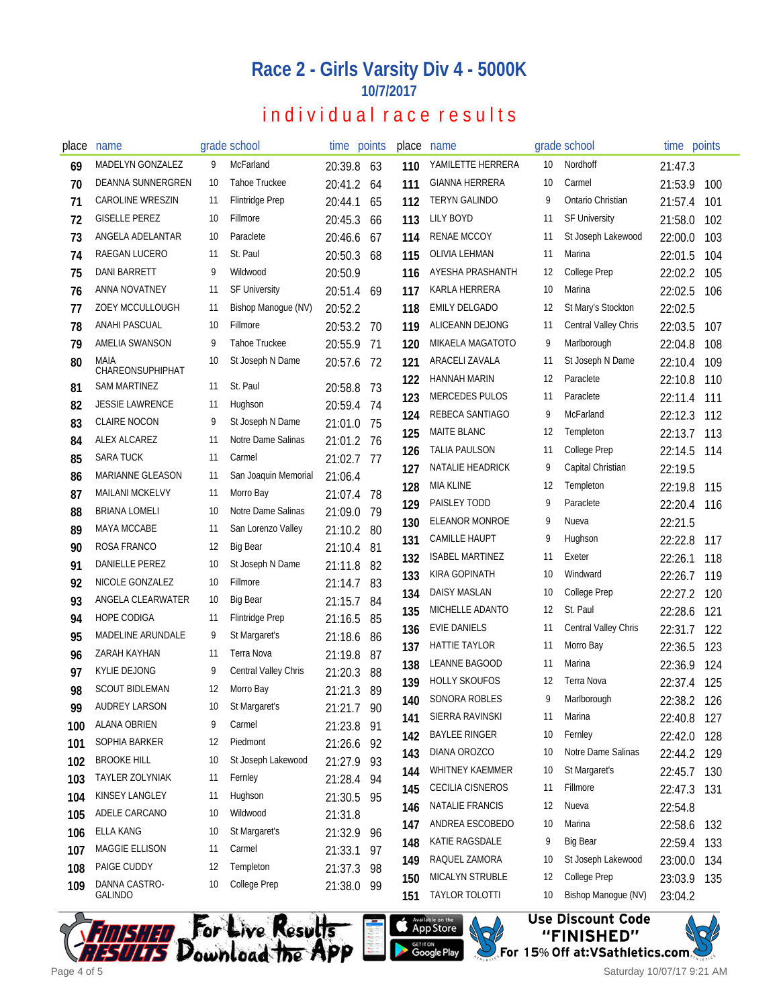#### **Race 2 - Girls Varsity Div 4 - 5000K 10/7/2017**

## individual race results

| place      | name                             |      | grade school           | time points           |           | place | name                    |    | grade school         | time points |     |
|------------|----------------------------------|------|------------------------|-----------------------|-----------|-------|-------------------------|----|----------------------|-------------|-----|
| 69         | MADELYN GONZALEZ                 | 9    | McFarland              | 20:39.8               | 63        | 110   | YAMILETTE HERRERA       | 10 | Nordhoff             | 21:47.3     |     |
| 70         | DEANNA SUNNERGREN                | 10   | <b>Tahoe Truckee</b>   | 20:41.2 64            |           | 111   | <b>GIANNA HERRERA</b>   | 10 | Carmel               | 21:53.9     | 100 |
| 71         | <b>CAROLINE WRESZIN</b>          | 11   | <b>Flintridge Prep</b> | 20:44.1               | 65        | 112   | <b>TERYN GALINDO</b>    | 9  | Ontario Christian    | 21:57.4     | 101 |
| 72         | <b>GISELLE PEREZ</b>             | 10   | Fillmore               | 20:45.3               | 66        | 113   | <b>LILY BOYD</b>        | 11 | <b>SF University</b> | 21:58.0     | 102 |
| 73         | ANGELA ADELANTAR                 | 10   | Paraclete              | 20:46.6               | 67        | 114   | <b>RENAE MCCOY</b>      | 11 | St Joseph Lakewood   | 22:00.0     | 103 |
| 74         | RAEGAN LUCERO                    | 11   | St. Paul               | 20:50.3               | 68        | 115   | OLIVIA LEHMAN           | 11 | Marina               | 22:01.5     | 104 |
| 75         | <b>DANI BARRETT</b>              | 9    | Wildwood               | 20:50.9               |           | 116   | AYESHA PRASHANTH        | 12 | <b>College Prep</b>  | 22:02.2     | 105 |
| 76         | ANNA NOVATNEY                    | 11   | <b>SF University</b>   | 20:51.4 69            |           | 117   | KARLA HERRERA           | 10 | Marina               | 22:02.5     | 106 |
| 77         | <b>ZOEY MCCULLOUGH</b>           | 11   | Bishop Manoque (NV)    | 20:52.2               |           | 118   | <b>EMILY DELGADO</b>    | 12 | St Mary's Stockton   | 22:02.5     |     |
| 78         | ANAHI PASCUAL                    | 10   | Fillmore               | 20:53.2 70            |           | 119   | ALICEANN DEJONG         | 11 | Central Valley Chris | 22:03.5     | 107 |
| 79         | AMELIA SWANSON                   | 9    | <b>Tahoe Truckee</b>   | 20:55.9               | 71        | 120   | MIKAELA MAGATOTO        | 9  | Marlborough          | 22:04.8     | 108 |
| 80         | MAIA                             | 10   | St Joseph N Dame       | 20:57.6               | -72       | 121   | ARACELI ZAVALA          | 11 | St Joseph N Dame     | 22:10.4     | 109 |
| 81         | CHAREONSUPHIPHAT<br>SAM MARTINEZ | 11   | St. Paul               |                       | -73       | 122   | HANNAH MARIN            | 12 | Paraclete            | 22:10.8     | 110 |
| 82         | <b>JESSIE LAWRENCE</b>           | 11   | Hughson                | 20:58.8<br>20:59.4    | - 74      | 123   | <b>MERCEDES PULOS</b>   | 11 | Paraclete            | 22:11.4     | 111 |
| 83         | <b>CLAIRE NOCON</b>              | 9    | St Joseph N Dame       |                       | 75        | 124   | REBECA SANTIAGO         | 9  | McFarland            | 22:12.3     | 112 |
| 84         | ALEX ALCAREZ                     | 11   | Notre Dame Salinas     | 21:01.0<br>21:01.2 76 |           | 125   | MAITE BLANC             | 12 | Templeton            | 22:13.7     | 113 |
| 85         | <b>SARA TUCK</b>                 | 11   | Carmel                 | 21:02.7               | -77       | 126   | TALIA PAULSON           | 11 | <b>College Prep</b>  | 22:14.5     | 114 |
| 86         | <b>MARIANNE GLEASON</b>          | 11   | San Joaquin Memorial   | 21:06.4               |           | 127   | NATALIE HEADRICK        | 9  | Capital Christian    | 22:19.5     |     |
| 87         | <b>MAILANI MCKELVY</b>           | 11   | Morro Bay              |                       | 78        | 128   | MIA KLINE               | 12 | Templeton            | 22:19.8     | 115 |
| 88         | <b>BRIANA LOMELI</b>             | 10   | Notre Dame Salinas     | 21:07.4<br>21:09.0    | 79        | 129   | PAISLEY TODD            | 9  | Paraclete            | 22:20.4     | 116 |
| 89         | <b>MAYA MCCABE</b>               | 11   | San Lorenzo Valley     | 21:10.2 80            |           | 130   | ELEANOR MONROE          | 9  | Nueva                | 22:21.5     |     |
|            | ROSA FRANCO                      | 12   | <b>Big Bear</b>        |                       |           | 131   | <b>CAMILLE HAUPT</b>    | 9  | Hughson              | 22:22.8     | 117 |
| 90<br>91   | DANIELLE PEREZ                   | 10   | St Joseph N Dame       | 21:10.4 81            |           | 132   | <b>ISABEL MARTINEZ</b>  | 11 | Exeter               | 22:26.1     | 118 |
|            | NICOLE GONZALEZ                  | 10   | Fillmore               | 21:11.8               | -82       | 133   | KIRA GOPINATH           | 10 | Windward             | 22:26.7     | 119 |
| 92         | ANGELA CLEARWATER                | 10   | <b>Big Bear</b>        | 21:14.7               | 83        | 134   | DAISY MASLAN            | 10 | <b>College Prep</b>  | 22:27.2     | 120 |
| 93         | <b>HOPE CODIGA</b>               | 11   | <b>Flintridge Prep</b> | 21:15.7               | 84        | 135   | MICHELLE ADANTO         | 12 | St. Paul             | 22:28.6     | 121 |
| 94         | MADELINE ARUNDALE                | 9    | St Margaret's          | 21:16.5               | 85        | 136   | EVIE DANIELS            | 11 | Central Valley Chris | 22:31.7     | 122 |
| 95         | <b>ZARAH KAYHAN</b>              | -11  | Terra Nova             | 21:18.6               | -86       | 137   | HATTIE TAYLOR           | 11 | Morro Bay            | 22:36.5     | 123 |
| 96<br>97   | <b>KYLIE DEJONG</b>              | 9    | Central Valley Chris   | 21:19.8               | 87        | 138   | LEANNE BAGOOD           | 11 | Marina               | 22:36.9     | 124 |
| 98         | <b>SCOUT BIDLEMAN</b>            | 12   | Morro Bay              | 21:20.3               | 88<br>-89 | 139   | <b>HOLLY SKOUFOS</b>    | 12 | <b>Terra Nova</b>    | 22:37.4     | 125 |
|            | AUDREY LARSON                    | $10$ | St Margaret's          | 21:21.3               |           | 140   | <b>SONORA ROBLES</b>    | 9  | Marlborough          | 22:38.2 126 |     |
| 99         | <b>ALANA OBRIEN</b>              | 9    | Carmel                 | 21:21.7 90            |           | 141   | SIERRA RAVINSKI         | 11 | Marina               | 22:40.8     | 127 |
| 100        | SOPHIA BARKER                    | 12   | <b>Piedmont</b>        | 21:23.8 91            |           | 142   | <b>BAYLEE RINGER</b>    | 10 | Fernley              | 22:42.0     | 128 |
| 101        | <b>BROOKE HILL</b>               | 10   | St Joseph Lakewood     | 21:26.6 92            |           | 143   | DIANA OROZCO            | 10 | Notre Dame Salinas   | 22:44.2     | 129 |
| 102        | TAYLER ZOLYNIAK                  | 11   | Fernley                | 21:27.9 93            |           | 144   | WHITNEY KAEMMER         | 10 | St Margaret's        | 22:45.7     | 130 |
| 103        | KINSEY LANGLEY                   | 11   | Hughson                | 21:28.4 94            |           | 145   | <b>CECILIA CISNEROS</b> | 11 | Fillmore             | 22:47.3     | 131 |
| 104        | ADELE CARCANO                    | 10   | Wildwood               | 21:30.5 95            |           | 146   | NATALIE FRANCIS         | 12 | Nueva                | 22:54.8     |     |
| 105        | ELLA KANG                        | 10   | St Margaret's          | 21:31.8               |           | 147   | ANDREA ESCOBEDO         | 10 | Marina               | 22:58.6     | 132 |
| 106        | MAGGIE ELLISON                   | 11   | Carmel                 | 21:32.9 96            |           | 148   | KATIE RAGSDALE          | 9  | <b>Big Bear</b>      | 22:59.4     | 133 |
| 107        | PAIGE CUDDY                      | 12   | Templeton              | 21:33.1               | 97        | 149   | RAQUEL ZAMORA           | 10 | St Joseph Lakewood   | 23:00.0     | 134 |
| 108<br>109 | DANNA CASTRO-                    | 10   | College Prep           | 21:37.3               | 98        | 150   | MICALYN STRUBLE         | 12 | College Prep         | 23:03.9     | 135 |
|            | <b>GALINDO</b>                   |      |                        | 21:38.0 99            |           | 151   | TAYLOR TOLOTTI          | 10 | Bishop Manogue (NV)  | 23:04.2     |     |







Saturday 10/07/17 9:21 AM